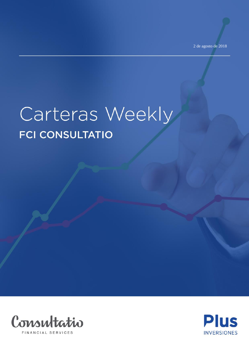# Carteras Weekly **FCI CONSULTATIO**



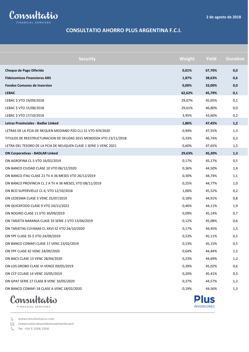**INVERSIONES** 



#### **CONSULTATIO AHORRO PLUS ARGENTINA F.C.I.**

| <b>Security</b>                                                   | Weight | <b>Yield</b> | <b>Duration</b> |
|-------------------------------------------------------------------|--------|--------------|-----------------|
| Cheque de Pago Diferido                                           | 0,01%  | 67,70%       | 0,0             |
| <b>Fideicomisos Financieros ARS</b>                               | 1,87%  | 38,63%       | 0,6             |
| <b>Fondos Comunes de Inversion</b>                                | 0,00%  | 33,00%       | 0,0             |
| <b>LEBAC</b>                                                      | 62,62% | 45,79%       | 0,1             |
| LEBAC \$ VTO 19/09/2018                                           | 29,07% | 45,05%       | 0,1             |
| LEBAC \$ VTO 15/08/2018                                           | 29,61% | 46,80%       | 0,0             |
| LEBAC \$ VTO 17/10/2018                                           | 3,95%  | 43,60%       | 0,2             |
| Letras Provinciales - Badlar Linked                               | 1,86%  | 47,45%       | 1,2             |
| LETRAS DE LA PCIA DE NEQUEN MEDIANO PZO CL1 S1 VTO 9/9/2020       | 0,94%  | 47,55%       | 1,3             |
| TITULOS DE REESTRUCTURACION DE DEUDAS 2015 MENDOZA VTO 23/11/2018 | 0,33%  | 46,74%       | 0,3             |
| LETRA DEL TESORO DE LA PCIA DE NEUQUEN CLASE 1 SERIE 1 VENC 2021  | 0,60%  | 47,65%       | 1,5             |
| <b>ON Corporativas - BADLAR Linked</b>                            | 29,63% | 45,20%       | 1,3             |
| ON AGROFINA CL 5 VTO 16/02/2019                                   | 0,17%  | 45,17%       | 0,5             |
| ON BANCO CIUDAD CLASE 10 VTO 06/12/2020                           | 0,36%  | 44,50%       | 1,4             |
| ON BANCO ITAU CLASE 21 TV A 36 MESES VTO 26/12/2019               | 0,30%  | 44,74%       | 1,1             |
| ON BANCO PROVINCIA CL 2 A TV A 36 MESES, VTO 08/11/2019           | 0,25%  | 44,77%       | 1,0             |
| ON BCO SUPERVIELLE CL 6, VTO 12/10/2018                           | 1,00%  | 45,52%       | 0,2             |
| ON LEDESMA CLASE 5 VENC 25/07/2019                                | 0,18%  | 44,91%       | 0,8             |
| ON QUICKFOOD CLASE 9 VTO 24/11/2022                               | 0,46%  | 44,11%       | 1,9             |
| ON ROGIRO CLASE 11 VTO 30/09/2019                                 | 0,09%  | 45,14%       | 0,7             |
| ON TARJETA NARANJA CLASE 33 SERIE 2 VTO 13/04/2019                | 0,12%  | 45,08%       | 0,6             |
| ON TARJETAS CUYANAS CL XXVI S2 VTO 24/10/2020                     | 0,17%  | 44,45%       | 1,5             |
| ON YPF CLASE 35 \$ VTO 24/09/2019                                 | 0,53%  | 45,11%       | 0,5             |
| ON BANCO COMAFI CLASE 17 VENC 23/02/2019                          | 0,13%  | 45,15%       | 0,5             |
| ON YPF CLASE 42 VENC 24/09/2020                                   | 0,64%  | 44,44%       | 1,5             |
| ON BACS CLASE 13 VENC 28/04/2020                                  | 0,23%  | 44,69%       | 1,2             |
| ON LOS GROBO CLASE VI VENCE 09/05/2019                            | 0,39%  | 45,02%       | 0,6             |
| ON CCF CCLASE 14 VENC 10/05/2019                                  | 0,20%  | 45,41%       | 0,3             |
| ON GPAT SERIE 27 CLASE B VENC 10/05/2020                          | 0,37%  | 44,57%       | 1,2             |
| ON BANCO COMAFI 18 CLASE A VENC 18/02/2020                        | 0,19%  | 44,56%       | 1,3             |
| Consultatio                                                       |        | <b>Plus</b>  |                 |

FINANCIAL SERVICES

www.consultatioplus.com

comercial@consultatioinvestments.com

 $\mathcal{C}$ Tel.: +54 11 2206 2206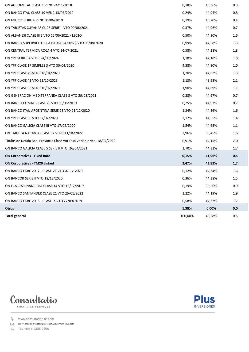| ON AGROMETAL CLASE 1 VENC 24/11/2018                                     | 0,18%   | 45,36% | 0,3 |
|--------------------------------------------------------------------------|---------|--------|-----|
| ON BANCO ITAU CLASE 19 VENC 13/07/2019                                   | 0,24%   | 44,94% | 0,8 |
| ON MILICIC SERIE 4 VENC 06/06/2019                                       | 0,19%   | 45,20% | 0,4 |
| ON TARJETAS CUYANAS CL 28 SERIE II VTO 09/06/2021                        | 0,37%   | 44,96% | 0,7 |
| ON ALBANESI CLASE III \$ VTO 15/06/2021 / LSC3O                          | 0,50%   | 44,30% | 1,6 |
| ON BANCO SUPERVIELLE CL A BADLAR 4.50% \$ VTO 09/08/2020                 | 0,99%   | 44,58% | 1,3 |
| ON CENTRAL TERMICA ROCA 4 VTO 24-07-2021                                 | 0,58%   | 44,28% | 1,8 |
| ON YPF SERIE 34 VENC 24/09/2024                                          | 1,18%   | 44,18% | 1,8 |
| ON YPF CLASE 17 SIMPLES \$ VTO 30/04/2020                                | 4,38%   | 44,80% | 1,0 |
| ON YPF CLASE 49 VENC 18/04/2020                                          | 1,20%   | 44,62% | 1,3 |
| ON YPF CLASE 43 VTO 21/10/2023                                           | 1,13%   | 43,98% | 2,1 |
| ON YPF CLASE 36 VENC 10/02/2020                                          | 1,90%   | 44,69% | 1,1 |
| ON GENERACION MEDITERRANEA CLASE 8 VTO 29/08/2021                        | 0,28%   | 44,97% | 0,7 |
| ON BANCO COMAFI CLASE 20 VTO 06/06/2019                                  | 0,25%   | 44,97% | 0,7 |
| ON BANCO ITAU ARGENTINA SERIE 23 VTO 21/12/2020                          | 1,24%   | 44,36% | 1,6 |
| ON YPF CLASE 50 VTO 07/07/2020                                           | 2,12%   | 44,55% | 1,4 |
| ON BANCO GALICIA CLASE III VTO 17/02/2020                                | 1,54%   | 44,65% | 1,1 |
| ON TARJETA NARANJA CLASE 37 VENC 11/04/2022                              | 2,96%   | 50,45% | 1,6 |
| Titulos de Deuda Bco. Provincia Clase VIII Tasa Variable Vto. 18/04/2022 | 0,91%   | 44,15% | 2,0 |
| ON BANCO GALICIA CLASE 5 SERIE II VTO. 26/04/2021                        | 1,70%   | 44,32% | 1,7 |
| <b>ON Corporativas - Fixed Rate</b>                                      | 0,15%   | 41,96% | 0,5 |
| <b>ON Corporativas - TM20 Linked</b>                                     | 2,47%   | 43,82% | 1,7 |
| ON BANCO HSBC 2017 - CLASE VII VTO 07-12-2020                            | 0,12%   | 44,34% | 1,6 |
| ON BANCOR SERIE II VTO 18/12/2020                                        | 0,36%   | 44,38% | 1,5 |
| ON FCA CIA FINANCIERA CLASE 14 VTO 16/12/2019                            | 0,19%   | 38,56% | 0,9 |
| ON BANCO SANTANDER CLASE 21 VTO 26/01/2022                               | 1,22%   | 44,19% | 1,9 |
| ON BANCO HSBC 2018 - CLASE IX VTO 27/09/2019                             | 0,58%   | 44,37% | 1,7 |
| <b>Otros</b>                                                             | 1,38%   | 0,00%  | 0,0 |
| <b>Total general</b>                                                     | 100.00% | 45.28% | 0.5 |





comercial@consultatioinvestments.com

& Tel.: +54 11 2206 2206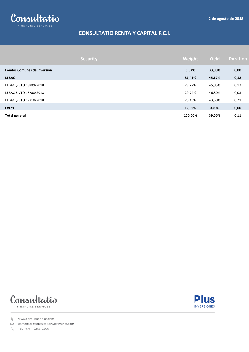

# **CONSULTATIO RENTA Y CAPITAL F.C.I.**

|                                    | <b>Security</b> | Weight  | <b>Yield</b> | <b>Duration</b> |
|------------------------------------|-----------------|---------|--------------|-----------------|
| <b>Fondos Comunes de Inversion</b> |                 | 0,54%   | 33,00%       | 0,00            |
| <b>LEBAC</b>                       |                 | 87,41%  | 45,17%       | 0,12            |
| LEBAC \$ VTO 19/09/2018            |                 | 29,22%  | 45,05%       | 0,13            |
| LEBAC \$ VTO 15/08/2018            |                 | 29,74%  | 46,80%       | 0,03            |
| LEBAC \$ VTO 17/10/2018            |                 | 28,45%  | 43,60%       | 0,21            |
| <b>Otros</b>                       |                 | 12,05%  | 0,00%        | 0,00            |
| <b>Total general</b>               |                 | 100,00% | 39,66%       | 0,11            |





www.consultatioplus.com

⊠ comercial@consultatioinvestments.com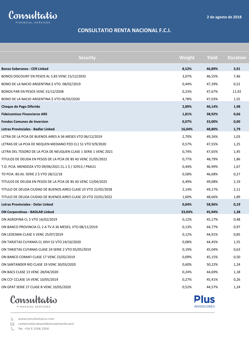**Plus INVERSIONES** 



### **CONSULTATIO RENTA NACIONAL F.C.I.**

| <b>Security</b>                                                  | Weight | Yield  | <b>Duration</b> |
|------------------------------------------------------------------|--------|--------|-----------------|
| <b>Bonos Soberanos - CER Linked</b>                              | 8,52%  | 46,89% | 3,91            |
| BONOS DISCOUNT EN PESOS AL 5.83 VENC 15/12/2033                  | 3,07%  | 46,55% | 7,46            |
| BONO DE LA NACIO ARGENTINA \$ VTO. 08/02/2019                    | 0,44%  | 47,39% | 0,52            |
| BONOS PAR EN PESOS VENC 31/12/2038                               | 0,23%  | 47,67% | 11,92           |
| BONO DE LA NACIO ARGENTINA \$ VTO 06/03/2020                     | 4,78%  | 47,03% | 1,55            |
| Cheque de Pago Diferido                                          | 2,89%  | 46,14% | 1,98            |
| <b>Fideicomisos Financieros ARS</b>                              | 1,81%  | 38,92% | 0,66            |
| <b>Fondos Comunes de Inversion</b>                               | 0,07%  | 33,00% | 0,00            |
| Letras Provinciales - Badlar Linked                              | 16,04% | 48,80% | 1,79            |
| LETRA DE LA PCIA DE BUENOS AIRES A 36 MESES VTO 06/12/2019       | 2,70%  | 49,26% | 1,03            |
| LETRAS DE LA PCIA DE NEQUEN MEDIANO PZO CL1 S1 VTO 9/9/2020      | 0,57%  | 47,55% | 1,25            |
| LETRA DEL TESORO DE LA PCIA DE NEUQUEN CLASE 1 SERIE 1 VENC 2021 | 0,74%  | 47,65% | 1,45            |
| TITULOS DE DEUDA EN PESOS DE LA PCIA DE BS AS VENC 31/05/2022    | 0,77%  | 48,79% | 1,86            |
| T.D. PCIA. MENDOZA VTO 09/06/2021 CL.1 \$ / 32913 / PMJ21        | 0,44%  | 46,99% | 1,67            |
| TD PCIA. BS.AS. SERIE 2 \$ VTO 28/12/18                          | 0,58%  | 46,68% | 0,27            |
| TITULOS DE DEUDA EN PESOS DE LA PCIA DE BS AS VENC 12/04/2025    | 6,49%  | 49,08% | 2,19            |
| TITULO DE DEUDA CIUDAD DE BUENOS AIRES CLASE 23 VTO 22/02/2028   | 2,14%  | 49,17% | 2,11            |
| TITULO DE DEUDA CIUDAD DE BUENOS AIRES CLASE 20 VTO 23/01/2022   | 1,60%  | 48,66% | 1,89            |
| Letras Provinciales - Dolar Linked                               | 0,04%  | 58,96% | 0,19            |
| <b>ON Corporativas - BADLAR Linked</b>                           | 33,03% | 45,94% | 1,38            |
| ON AGROFINA CL 5 VTO 16/02/2019                                  | 0,12%  | 45,17% | 0,48            |
| ON BANCO PROVINCIA CL 2 A TV A 36 MESES, VTO 08/11/2019          | 0,13%  | 44,77% | 0,97            |
| ON LEDESMA CLASE 5 VENC 25/07/2019                               | 0,12%  | 44,91% | 0,85            |
| ON TARJETAS CUYANAS CL XXVI S2 VTO 24/10/2020                    | 0,08%  | 44,45% | 1,55            |
| ON TARJETAS CUYANAS CLASE 24 SERIE 2 VTO 05/05/2019              | 0,19%  | 45,04% | 0,63            |
| ON BANCO COMAFI CLASE 17 VENC 23/02/2019                         | 0,09%  | 45,15% | 0,50            |
| ON SANTANDER RIO CLASE 19 VENC 30/03/2020                        | 0,60%  | 50,22% | 1,24            |
| ON BACS CLASE 13 VENC 28/04/2020                                 | 0,24%  | 44,69% | 1,18            |
| ON CCF CCLASE 14 VENC 10/05/2019                                 | 0,27%  | 45,41% | 0,26            |
| ON GPAT SERIE 27 CLASE B VENC 10/05/2020                         | 0,52%  | 44,57% | 1,24            |
|                                                                  |        |        |                 |



www.consultatioplus.com

⊠ comercial@consultatioinvestments.com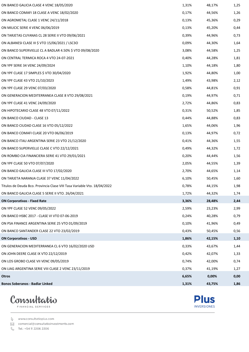| ON BANCO GALICIA CLASE 4 VENC 18/05/2020                                 | 1,31% | 48,17% | 1,25 |
|--------------------------------------------------------------------------|-------|--------|------|
| ON BANCO COMAFI 18 CLASE A VENC 18/02/2020                               | 0,17% | 44,56% | 1,26 |
| ON AGROMETAL CLASE 1 VENC 24/11/2018                                     | 0,13% | 45,36% | 0,29 |
| ON MILICIC SERIE 4 VENC 06/06/2019                                       | 0,13% | 45,20% | 0,44 |
| ON TARJETAS CUYANAS CL 28 SERIE II VTO 09/06/2021                        | 0,39% | 44,96% | 0,73 |
| ON ALBANESI CLASE III \$ VTO 15/06/2021 / LSC3O                          | 0,09% | 44,30% | 1,64 |
| ON BANCO SUPERVIELLE CL A BADLAR 4.50% \$ VTO 09/08/2020                 | 3,08% | 44,58% | 1,25 |
| ON CENTRAL TERMICA ROCA 4 VTO 24-07-2021                                 | 0,40% | 44,28% | 1,81 |
| ON YPF SERIE 34 VENC 24/09/2024                                          | 1,10% | 44,18% | 1,80 |
| ON YPF CLASE 17 SIMPLES \$ VTO 30/04/2020                                | 1,92% | 44,80% | 1,00 |
| ON YPF CLASE 43 VTO 21/10/2023                                           | 1,49% | 43,98% | 2,12 |
| ON YPF CLASE 29 VENC 07/03/2020                                          | 0,58% | 44,81% | 0,91 |
| ON GENERACION MEDITERRANEA CLASE 8 VTO 29/08/2021                        | 0,19% | 44,97% | 0,71 |
| ON YPF CLASE 41 VENC 24/09/2020                                          | 2,72% | 44,86% | 0,83 |
| ON HIPOTECARIO CLASE 48 VTO 07/11/2022                                   | 0,31% | 50,52% | 1,85 |
| ON BANCO CIUDAD - CLASE 13                                               | 0,44% | 44,88% | 0,83 |
| ON BANCO CIUDAD CLASE 16 VTO 05/12/2022                                  | 1,65% | 44,06% | 1,96 |
| ON BANCO COMAFI CLASE 20 VTO 06/06/2019                                  | 0,13% | 44,97% | 0,72 |
| ON BANCO ITAU ARGENTINA SERIE 23 VTO 21/12/2020                          | 0,41% | 44,36% | 1,55 |
| ON BANCO SUPERVIELLE CLASE C VTO 22/12/2021                              | 0,49% | 44,32% | 1,72 |
| ON ROMBO CIA FINANCIERA SERIE 41 VTO 29/01/2021                          | 0,20% | 44,44% | 1,56 |
| ON YPF CLASE 50 VTO 07/07/2020                                           | 2,05% | 44,55% | 1,39 |
| ON BANCO GALICIA CLASE III VTO 17/02/2020                                | 2,70% | 44,65% | 1,14 |
| ON TARJETA NARANJA CLASE 37 VENC 11/04/2022                              | 6,10% | 50,45% | 1,60 |
| Titulos de Deuda Bco. Provincia Clase VIII Tasa Variable Vto. 18/04/2022 | 0,78% | 44,15% | 1,98 |
| ON BANCO GALICIA CLASE 5 SERIE II VTO. 26/04/2021                        | 1,72% | 44,32% | 1,74 |
| <b>ON Corporativas - Fixed Rate</b>                                      | 3,36% | 28,48% | 2,44 |
| ON YPF CLASE 52 VENC 09/05/2022                                          | 2,59% | 23,23% | 2,99 |
| ON BANCO HSBC 2017 - CLASE VI VTO 07-06-2019                             | 0,24% | 40,28% | 0,79 |
| ON PSA FINANCE ARGENTINA SERIE 25 VTO 01/09/2019                         | 0,10% | 41,96% | 0,49 |
| ON BANCO SANTANDER CLASE 22 VTO 23/02/2019                               | 0,43% | 50,45% | 0,56 |
| <b>ON Corporativas - USD</b>                                             | 1,86% | 42,15% | 1,10 |
| ON GENERACION MEDITERRANEA CL 6 VTO 16/02/2020 USD                       | 0,33% | 43,67% | 1,44 |
| ON JOHN DEERE CLASE IX VTO 22/12/2019                                    | 0,42% | 42,07% | 1,33 |
| ON LOS GROBO CLASE VII VENC 09/05/2019                                   | 0,74% | 42,00% | 0,74 |
| ON LIAG ARGENTINA SERIE VIII CLASE 2 VENC 23/11/2019                     | 0,37% | 41,19% | 1,27 |
| <b>Otros</b>                                                             | 6,65% | 0,00%  | 0,00 |
| <b>Bonos Soberanos - Badlar Linked</b>                                   | 1,31% | 43,75% | 1,86 |





comercial@consultatioinvestments.com

& Tel.: +54 11 2206 2206

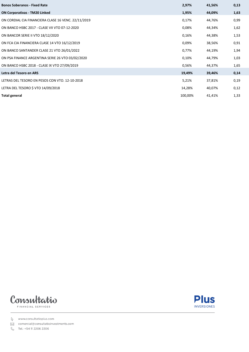| <b>Bonos Soberanos - Fixed Rate</b>                 | 2,97%   | 41,56% | 0,13 |
|-----------------------------------------------------|---------|--------|------|
| <b>ON Corporativas - TM20 Linked</b>                | 1,95%   | 44,09% | 1,63 |
| ON CORDIAL CIA FINANCIERA CLASE 16 VENC. 22/11/2019 | 0,17%   | 44,76% | 0,99 |
| ON BANCO HSBC 2017 - CLASE VII VTO 07-12-2020       | 0,08%   | 44,34% | 1,62 |
| ON BANCOR SERIE II VTO 18/12/2020                   | 0,16%   | 44,38% | 1,53 |
| ON FCA CIA FINANCIERA CLASE 14 VTO 16/12/2019       | 0,09%   | 38,56% | 0,91 |
| ON BANCO SANTANDER CLASE 21 VTO 26/01/2022          | 0,77%   | 44,19% | 1,94 |
| ON PSA FINANCE ARGENTINA SERIE 26 VTO 03/02/2020    | 0,10%   | 44,79% | 1,03 |
| ON BANCO HSBC 2018 - CLASE IX VTO 27/09/2019        | 0,56%   | 44,37% | 1,65 |
| Letra del Tesoro en ARS                             | 19,49%  | 39,46% | 0,14 |
| LETRAS DEL TESORO EN PESOS CON VTO. 12-10-2018      | 5,21%   | 37,81% | 0,19 |
| LETRA DEL TESORO \$ VTO 14/09/2018                  | 14,28%  | 40,07% | 0,12 |
| <b>Total general</b>                                | 100,00% | 41,41% | 1,33 |





comercial@consultatioinvestments.com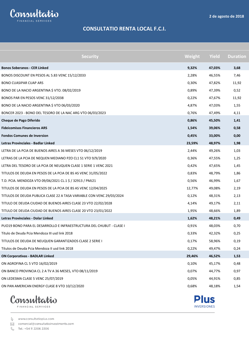**Plus INVERSIONES** 



# **CONSULTATIO RENTA LOCAL F.C.I.**

| <b>Bonos Soberanos - CER Linked</b>                                            | 9,32%<br>47,03% |       |
|--------------------------------------------------------------------------------|-----------------|-------|
|                                                                                |                 | 3,68  |
| BONOS DISCOUNT EN PESOS AL 5.83 VENC 15/12/2033<br>2,28%                       | 46,55%          | 7,46  |
| 0,30%<br><b>BONO CUASIPAR CUAP ARS</b>                                         | 47,82%          | 11,92 |
| BONO DE LA NACIO ARGENTINA \$ VTO. 08/02/2019<br>0,89%                         | 47,39%          | 0,52  |
| BONOS PAR EN PESOS VENC 31/12/2038<br>0,22%                                    | 47,67%          | 11,92 |
| BONO DE LA NACIO ARGENTINA \$ VTO 06/03/2020<br>4,87%                          | 47,03%          | 1,55  |
| 0,76%<br>BONCER 2023 - BONO DEL TESORO DE LA NAC ARG VTO 06/03/2023            | 47,49%          | 4,11  |
| 0,86%<br>Cheque de Pago Diferido                                               | 45,50%          | 1,41  |
| <b>Fideicomisos Financieros ARS</b><br>1,54%                                   | 39,06%          | 0,58  |
| <b>Fondos Comunes de Inversion</b><br>0,45%                                    | 33,00%          | 0,00  |
| Letras Provinciales - Badlar Linked<br>23,59%                                  | 48,97%          | 1,98  |
| LETRA DE LA PCIA DE BUENOS AIRES A 36 MESES VTO 06/12/2019<br>2,44%            | 49,26%          | 1,03  |
| LETRAS DE LA PCIA DE NEQUEN MEDIANO PZO CL1 S1 VTO 9/9/2020<br>0,36%           | 47,55%          | 1,25  |
| 0,42%<br>LETRA DEL TESORO DE LA PCIA DE NEUQUEN CLASE 1 SERIE 1 VENC 2021      | 47,65%          | 1,45  |
| 0,83%<br>TITULOS DE DEUDA EN PESOS DE LA PCIA DE BS AS VENC 31/05/2022         | 48,79%          | 1,86  |
| T.D. PCIA. MENDOZA VTO 09/06/2021 CL.1 \$ / 32913 / PMJ21<br>0,56%             | 46,99%          | 1,67  |
| TITULOS DE DEUDA EN PESOS DE LA PCIA DE BS AS VENC 12/04/2025<br>12,77%        | 49,08%          | 2,19  |
| 0,12%<br>TITULOS DE DEUDA PUBLICA CLASE 22 A TASA VARIABLE CON VENC 29/03/2024 | 48,31%          | 2,13  |
| TITULO DE DEUDA CIUDAD DE BUENOS AIRES CLASE 23 VTO 22/02/2028<br>4,14%        | 49,17%          | 2,11  |
| TITULO DE DEUDA CIUDAD DE BUENOS AIRES CLASE 20 VTO 23/01/2022<br>1,95%        | 48,66%          | 1,89  |
| Letras Provinciales - Dolar Linked<br>1,62%                                    | 48,21%          | 0,49  |
| PUO19 BONO PARA EL DESARROLLO E INFRAESTRUCTURA DEL CHUBUT - CLASE I<br>0,91%  | 48,03%          | 0,70  |
| Título de Deuda Pcia Mendoza III usd link 2018<br>0,33%                        | 42,32%          | 0,25  |
| TITULOS DE DEUDA DE NEUQUEN GARANTIZADOS CLASE 2 SERIE I<br>0,17%              | 58,96%          | 0,19  |
| Títulos de Deuda Pcia Mendoza II usd link 2018<br>0,22%                        | 49,47%          | 0,24  |
| <b>ON Corporativas - BADLAR Linked</b><br>29,46%                               | 46,52%          | 1,53  |
| ON AGROFINA CL 5 VTO 16/02/2019<br>0,10%                                       | 45,17%          | 0,48  |
| ON BANCO PROVINCIA CL 2 A TV A 36 MESES, VTO 08/11/2019<br>0,07%               | 44,77%          | 0,97  |
| ON LEDESMA CLASE 5 VENC 25/07/2019<br>0,05%                                    | 44,91%          | 0,85  |
| 0,68%<br>ON PAN AMERICAN ENERGY CLASE 8 VTO 10/12/2020                         | 48,18%          | 1,54  |



www.consultatioplus.com

⊠ comercial@consultatioinvestments.com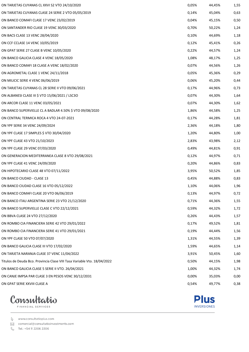| ON TARJETAS CUYANAS CL XXVI S2 VTO 24/10/2020                            | 0,05% | 44,45% | 1,55 |
|--------------------------------------------------------------------------|-------|--------|------|
| ON TARJETAS CUYANAS CLASE 24 SERIE 2 VTO 05/05/2019                      | 0,14% | 45,04% | 0,63 |
| ON BANCO COMAFI CLASE 17 VENC 23/02/2019                                 | 0,04% | 45,15% | 0,50 |
| ON SANTANDER RIO CLASE 19 VENC 30/03/2020                                | 0,70% | 50,22% | 1,24 |
| ON BACS CLASE 13 VENC 28/04/2020                                         | 0,10% | 44,69% | 1,18 |
| ON CCF CCLASE 14 VENC 10/05/2019                                         | 0,12% | 45,41% | 0,26 |
| ON GPAT SERIE 27 CLASE B VENC 10/05/2020                                 | 0,22% | 44,57% | 1,24 |
| ON BANCO GALICIA CLASE 4 VENC 18/05/2020                                 | 1,08% | 48,17% | 1,25 |
| ON BANCO COMAFI 18 CLASE A VENC 18/02/2020                               | 0,07% | 44,56% | 1,26 |
| ON AGROMETAL CLASE 1 VENC 24/11/2018                                     | 0,05% | 45,36% | 0,29 |
| ON MILICIC SERIE 4 VENC 06/06/2019                                       | 0,06% | 45,20% | 0,44 |
| ON TARJETAS CUYANAS CL 28 SERIE II VTO 09/06/2021                        | 0,17% | 44,96% | 0,73 |
| ON ALBANESI CLASE III \$ VTO 15/06/2021 / LSC3O                          | 0,07% | 44,30% | 1,64 |
| ON ARCOR CLASE 11 VENC 03/05/2021                                        | 0,07% | 44,30% | 1,62 |
| ON BANCO SUPERVIELLE CL A BADLAR 4.50% \$ VTO 09/08/2020                 | 1,86% | 44,58% | 1,25 |
| ON CENTRAL TERMICA ROCA 4 VTO 24-07-2021                                 | 0,17% | 44,28% | 1,81 |
| ON YPF SERIE 34 VENC 24/09/2024                                          | 2,36% | 44,18% | 1,80 |
| ON YPF CLASE 17 SIMPLES \$ VTO 30/04/2020                                | 1,20% | 44,80% | 1,00 |
| ON YPF CLASE 43 VTO 21/10/2023                                           | 2,83% | 43,98% | 2,12 |
| ON YPF CLASE 29 VENC 07/03/2020                                          | 0,49% | 44,81% | 0,91 |
| ON GENERACION MEDITERRANEA CLASE 8 VTO 29/08/2021                        | 0,12% | 44,97% | 0,71 |
| ON YPF CLASE 41 VENC 24/09/2020                                          | 0,20% | 44,86% | 0,83 |
| ON HIPOTECARIO CLASE 48 VTO 07/11/2022                                   | 3,95% | 50,52% | 1,85 |
| ON BANCO CIUDAD - CLASE 13                                               | 0,45% | 44,88% | 0,83 |
| ON BANCO CIUDAD CLASE 16 VTO 05/12/2022                                  | 1,10% | 44,06% | 1,96 |
| ON BANCO COMAFI CLASE 20 VTO 06/06/2019                                  | 0,13% | 44,97% | 0,72 |
| ON BANCO ITAU ARGENTINA SERIE 23 VTO 21/12/2020                          | 0,71% | 44,36% | 1,55 |
| ON BANCO SUPERVIELLE CLASE C VTO 22/12/2021                              | 0,59% | 44,32% | 1,72 |
| ON BBVA CLASE 24 VTO 27/12/2020                                          | 0,26% | 44,43% | 1,57 |
| ON ROMBO CIA FINANCIERA SERIE 42 VTO 29/01/2022                          | 0,17% | 49,52% | 1,81 |
| ON ROMBO CIA FINANCIERA SERIE 41 VTO 29/01/2021                          | 0,19% | 44,44% | 1,56 |
| ON YPF CLASE 50 VTO 07/07/2020                                           | 1,31% | 44,55% | 1,39 |
| ON BANCO GALICIA CLASE III VTO 17/02/2020                                | 1,59% | 44,65% | 1,14 |
| ON TARJETA NARANJA CLASE 37 VENC 11/04/2022                              | 3,91% | 50,45% | 1,60 |
| Titulos de Deuda Bco. Provincia Clase VIII Tasa Variable Vto. 18/04/2022 | 0,50% | 44,15% | 1,98 |
| ON BANCO GALICIA CLASE 5 SERIE II VTO. 26/04/2021                        | 1,00% | 44,32% | 1,74 |
| ON CANJE IMPSA PAR CLASE 3 EN PESOS VENC 30/12/2031                      | 0,00% | 35,03% | 0,00 |
| ON GPAT SERIE XXVIII CLASE A                                             | 0,54% | 49,77% | 0,38 |



↓<br>△ comercial@consultatioinvestments.com

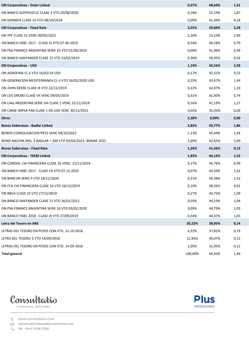| <b>ON Corporativas - Dolar Linked</b>                       | 0,27%   | 48,64% | 1,31 |
|-------------------------------------------------------------|---------|--------|------|
| ON BANCO SUPERVIELLE CLASE 3 VTO 20/08/2020                 | 0,18%   | 52,19% | 1,87 |
| ON GENNEIA CLASE 14 VTO 08/10/2018                          | 0,09%   | 41,44% | 0,18 |
| <b>ON Corporativas - Fixed Rate</b>                         | 3,25%   | 29,60% | 2,28 |
| ON YPF CLASE 52 VENC 09/05/2022                             | 2,26%   | 23,23% | 2,99 |
| ON BANCO HSBC 2017 - CLASE VI VTO 07-06-2019                | 0,54%   | 40,28% | 0,79 |
| ON PSA FINANCE ARGENTINA SERIE 25 VTO 01/09/2019            | 0,09%   | 41,96% | 0,49 |
| ON BANCO SANTANDER CLASE 22 VTO 23/02/2019                  | 0,36%   | 50,45% | 0,56 |
| <b>ON Corporativas - USD</b>                                | 1,14%   | 42,16% | 1,03 |
| ON AGROFINA CL 6 VTO 16/02/19 USD                           | 0,17%   | 42,31% | 0,53 |
| ON GENERACION MEDITERRANEA CL 6 VTO 16/02/2020 USD          | 0,25%   | 43,67% | 1,44 |
| ON JOHN DEERE CLASE IX VTO 22/12/2019                       | 0,22%   | 42,07% | 1,33 |
| ON LOS GROBO CLASE VII VENC 09/05/2019                      | 0,31%   | 42,00% | 0,74 |
| ON LIAG ARGENTINA SERIE VIII CLASE 2 VENC 23/11/2019        | 0,16%   | 41,19% | 1,27 |
| ON CANJE IMPSA PAR CLASE 1 EN USD VENC 30/12/2031           | 0,02%   | 35,03% | 0,00 |
| Otros                                                       | 2,28%   | 0,00%  | 0,00 |
| <b>Bonos Soberanos - Badlar Linked</b>                      | 2,82%   | 43,77% | 1,86 |
| BONOS CONSOLIDACION PR15 VENC 04/10/2022                    | 1,13%   | 45,44% | 1,64 |
| BONO NACION ARG. \$ BADLAR + 200 VTO 03/04/2022- BONAR 2022 | 1,69%   | 42,65% | 2,00 |
| <b>Bonos Soberanos - Fixed Rate</b>                         | 1,34%   | 41,56% | 0,13 |
| <b>ON Corporativas - TM20 Linked</b>                        | 1,83%   | 44,12% | 1,52 |
| ON CORDIAL CIA FINANCIERA CLASE 16 VENC. 22/11/2019         | 0,17%   | 44,76% | 0,99 |
| ON BANCO HSBC 2017 - CLASE VII VTO 07-12-2020               | 0,07%   | 44,34% | 1,62 |
| ON BANCOR SERIE II VTO 18/12/2020                           | 0,21%   | 44,38% | 1,53 |
| ON FCA CIA FINANCIERA CLASE 14 VTO 16/12/2019               | 0,10%   | 38,56% | 0,91 |
| ON BBVA CLASE 23 VTO 27/12/2019                             | 0,27%   | 44,75% | 1,09 |
| ON BANCO SANTANDER CLASE 21 VTO 26/01/2022                  | 0,59%   | 44,19% | 1,94 |
| ON PSA FINANCE ARGENTINA SERIE 26 VTO 03/02/2020            | 0,09%   | 44,79% | 1,03 |
| ON BANCO HSBC 2018 - CLASE IX VTO 27/09/2019                | 0,34%   | 44,37% | 1,65 |
| Letra del Tesoro en ARS                                     | 20,22%  | 38,95% | 0,14 |
| LETRAS DEL TESORO EN PESOS CON VTO. 12-10-2018              | 6,22%   | 37,81% | 0,19 |
| LETRA DEL TESORO \$ VTO 14/09/2018                          | 12,95%  | 40,07% | 0,12 |
| LETRAS DEL TESORO EN PESOS CON VTO. 14-09-2018              | 1,05%   | 31,95% | 0,12 |
| <b>Total general</b>                                        | 100,00% | 44,43% | 1,49 |



**Plus INVERSIONES** 

www.consultatioplus.com

comercial@consultatioinvestments.com

& Tel.: +54 11 2206 2206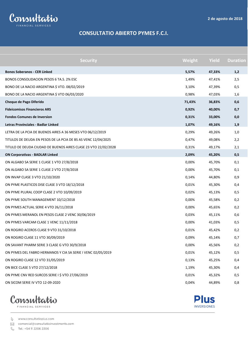

#### **CONSULTATIO ABIERTO PYMES F.C.I.**

| <b>Security</b>                                                | Weight | <b>Yield</b> | <b>Duration</b> |
|----------------------------------------------------------------|--------|--------------|-----------------|
| <b>Bonos Soberanos - CER Linked</b>                            | 5,57%  | 47,33%       | 1,2             |
| BONOS CONSOLIDACION PESOS 6 TA.S. 2% ESC                       | 1,49%  | 47,41%       | 2,5             |
| BONO DE LA NACIO ARGENTINA \$ VTO. 08/02/2019                  | 3,10%  | 47,39%       | 0,5             |
| BONO DE LA NACIO ARGENTINA \$ VTO 06/03/2020                   | 0,98%  | 47,03%       | 1,6             |
| Cheque de Pago Diferido                                        | 71,43% | 36,83%       | 0,6             |
| <b>Fideicomisos Financieros ARS</b>                            | 0,92%  | 40,00%       | 0,7             |
| <b>Fondos Comunes de Inversion</b>                             | 0,31%  | 33,00%       | 0,0             |
| Letras Provinciales - Badlar Linked                            | 1,07%  | 49,16%       | 1,9             |
| LETRA DE LA PCIA DE BUENOS AIRES A 36 MESES VTO 06/12/2019     | 0,29%  | 49,26%       | 1,0             |
| TITULOS DE DEUDA EN PESOS DE LA PCIA DE BS AS VENC 12/04/2025  | 0,47%  | 49,08%       | 2,2             |
| TITULO DE DEUDA CIUDAD DE BUENOS AIRES CLASE 23 VTO 22/02/2028 | 0,31%  | 49,17%       | 2,1             |
| <b>ON Corporativas - BADLAR Linked</b>                         | 2,09%  | 45,20%       | 0,5             |
| ON ALGABO SA SERIE 1 CLASE 1 VTO 27/8/2018                     | 0,00%  | 45,70%       | 0,1             |
| ON ALGABO SA SERIE 1 CLASE 2 VTO 27/8/2018                     | 0,00%  | 45,70%       | 0,1             |
| ON INVAP CLASE 3 VTO 21/10/2020                                | 0,14%  | 44,80%       | 0,9             |
| ON PYME PLASTICOS DISE CLASE 3 VTO 18/12/2018                  | 0,01%  | 45,30%       | 0,4             |
| ON PYME PLURAL COOP CLASE 2 VTO 10/09/2019                     | 0,02%  | 45,13%       | 0,5             |
| ON PYME SOUTH MANAGEMENT 10/12/2018                            | 0,00%  | 45,58%       | 0,2             |
| ON PYMES ACTUAL SERIE 4 VTO 26/11/2018                         | 0,00%  | 45,65%       | 0,2             |
| ON PYMES MERANOL EN PESOS CLASE 2 VENC 30/06/2019              | 0,03%  | 45,11%       | 0,6             |
| ON PYMES VARCAM CLASE 1 VENC 11/11/2018                        | 0,00%  | 41,03%       | 0,5             |
| ON ROGIRO ACEROS CLASE 9 VTO 31/10/2018                        | 0,01%  | 45,42%       | 0,2             |
| ON ROGIRO CLASE 11 VTO 30/09/2019                              | 0,09%  | 45,14%       | 0,7             |
| ON SAVANT PHARM SERIE 3 CLASE G VTO 30/9/2018                  | 0,00%  | 45,56%       | 0,2             |
| ON PYMES DEL FABRO HERMANOS Y CIA SA SERIE I VENC 02/05/2019   | 0,01%  | 45,12%       | 0,5             |
| ON ROGIRO CLASE 12 VTO 31/05/2019                              | 0,13%  | 45,25%       | 0,4             |
| ON BICE CLASE 5 VTO 27/12/2018                                 | 1,19%  | 45,30%       | 0,4             |
| ON PYME CNV RED SURCOS SERIE I \$ VTO 27/06/2019               | 0,01%  | 45,32%       | 0,5             |
| ON SICOM SERIE IV VTO 12-09-2020                               | 0,04%  | 44,89%       | 0,8             |



www.consultatioplus.com

⊠ comercial@consultatioinvestments.com

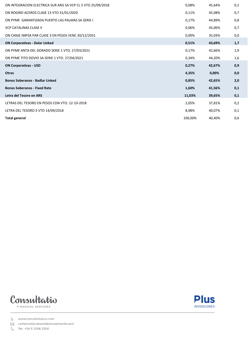| ON INTEGRACION ELECTRICA SUR ARG SA VCP CL 5 VTO 25/09/2018 | 0,08%   | 45,64% | 0,1 |
|-------------------------------------------------------------|---------|--------|-----|
| ON ROGIRO ACEROS CLASE 13 VTO 31/01/2020                    | 0,11%   | 45,08% | 0,7 |
|                                                             |         |        |     |
| ON PYME GARANTIZADA PUERTO LAS PALMAS SA SERIE I            | 0,17%   | 44,89% | 0,8 |
| <b>VCP CATALINAS CLASE II</b>                               | 0,06%   | 45,06% | 0,7 |
| ON CANJE IMPSA PAR CLASE 3 EN PESOS VENC 30/12/2031         | 0,00%   | 35,03% | 0,0 |
| <b>ON Corporativas - Dolar Linked</b>                       | 0,51%   | 43,69% | 1,7 |
| ON PYME ANTA DEL DORADO SERIE 1 VTO. 27/03/2021             | 0,17%   | 42,66% | 1,9 |
| ON PYME TITO DOVIO SA SERIE 1 VTO. 27/04/2021               | 0,34%   | 44,20% | 1,6 |
| <b>ON Corporativas - USD</b>                                | 0,27%   | 42,67% | 0,9 |
| <b>Otros</b>                                                | 4,35%   | 0,00%  | 0,0 |
| <b>Bonos Soberanos - Badlar Linked</b>                      | 0,85%   | 42,65% | 2,0 |
| <b>Bonos Soberanos - Fixed Rate</b>                         | 1,60%   | 41,56% | 0,1 |
| Letra del Tesoro en ARS                                     | 11,03%  | 39,65% | 0,1 |
| LETRAS DEL TESORO EN PESOS CON VTO. 12-10-2018              | 2,05%   | 37,81% | 0,2 |
| LETRA DEL TESORO \$ VTO 14/09/2018                          | 8,98%   | 40,07% | 0,1 |
| <b>Total general</b>                                        | 100,00% | 40,40% | 0,6 |





comercial@consultatioinvestments.com

& Tel.: +54 11 2206 2206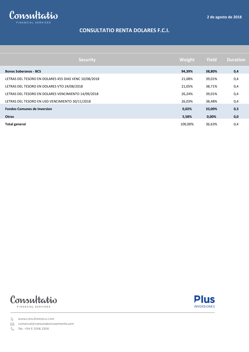

# **CONSULTATIO RENTA DOLARES F.C.I.**

| <b>Security</b>                                       | Weight  | Yield  | <b>Duration</b> |
|-------------------------------------------------------|---------|--------|-----------------|
| <b>Bonos Soberanos - BCS</b>                          | 94,39%  | 38,80% | 0,4             |
| LETRAS DEL TESORO EN DOLARES 455 DIAS VENC 10/08/2018 | 21,08%  | 39,01% | 0,4             |
| LETRAS DEL TESORO EN DOLARES VTO 24/08/2018           | 21,05%  | 38,71% | 0,4             |
| LETRAS DEL TESORO EN DOLARES VENCIMIENTO 14/09/2018   | 26,24%  | 39,01% | 0,4             |
| LETRAS DEL TESORO EN USD VENCIMIENTO 30/11/2018       | 26,03%  | 38,48% | 0,4             |
| <b>Fondos Comunes de Inversion</b>                    | 0,02%   | 33,00% | 0,3             |
| <b>Otros</b>                                          | 5,58%   | 0,00%  | 0,0             |
| <b>Total general</b>                                  | 100,00% | 36,63% | 0,4             |





www.consultatioplus.com

⊠ comercial@consultatioinvestments.com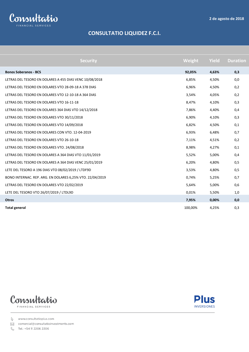

# **CONSULTATIO LIQUIDEZ F.C.I.**

| <b>Security</b>                                           | Weight  | <b>Yield</b> | <b>Duration</b> |
|-----------------------------------------------------------|---------|--------------|-----------------|
| <b>Bonos Soberanos - BCS</b>                              | 92,05%  | 4,63%        | 0,3             |
| LETRAS DEL TESORO EN DOLARES A 455 DIAS VENC 10/08/2018   | 6,85%   | 4,50%        | 0,0             |
| LETRAS DEL TESORO EN DOLARES VTO 28-09-18 A 378 DIAS      | 6,96%   | 4,50%        | 0,2             |
| LETRAS DEL TESORO EN DOLARES VTO 12-10-18 A 364 DIAS      | 3,54%   | 4,05%        | 0,2             |
| LETRAS DEL TESORO EN DOLARES VTO 16-11-18                 | 8,47%   | 4,10%        | 0,3             |
| LETRAS DEL TESORO EN DOLARES 364 DIAS VTO 14/12/2018      | 7,86%   | 4,40%        | 0,4             |
| LETRAS DEL TESORO EN DOLARES VTO 30/11/2018               | 6,90%   | 4,10%        | 0,3             |
| LETRAS DEL TESORO EN DOLARES VTO 14/09/2018               | 6,82%   | 4,50%        | 0,1             |
| LETRAS DEL TESORO EN DOLARES CON VTO. 12-04-2019          | 6,93%   | 6,48%        | 0,7             |
| LETRAS DEL TESORO EN DOLARES VTO 26-10-18                 | 7,11%   | 4,51%        | 0,2             |
| LETRAS DEL TESORO EN DOLARES VTO. 24/08/2018              | 8,98%   | 4,27%        | 0,1             |
| LETRAS DEL TESORO EN DOLARES A 364 DIAS VTO 11/01/2019    | 5,52%   | 5,00%        | 0,4             |
| LETRAS DEL TESORO EN DOLARES A 364 DIAS VENC 25/01/2019   | 6,20%   | 4,80%        | 0,5             |
| LETE DEL TESORO A 196 DIAS VTO 08/02/2019 / LTDF9D        | 3,53%   | 4,80%        | 0,5             |
| BONO INTERNAC. REP. ARG. EN DOLARES 6,25% VTO. 22/04/2019 | 0,74%   | 5,25%        | 0,7             |
| LETRAS DEL TESORO EN DOLARES VTO 22/02/2019               | 5,64%   | 5,00%        | 0,6             |
| LETE DEL TESORO VTO 26/07/2019 / LTDL9D                   | 0,01%   | 5,50%        | 1,0             |
| <b>Otros</b>                                              | 7,95%   | 0,00%        | 0,0             |
| <b>Total general</b>                                      | 100,00% | 4,25%        | 0,3             |





www.consultatioplus.com

⊠ comercial@consultatioinvestments.com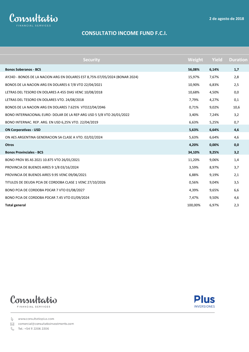

# **CONSULTATIO INCOME FUND F.C.I.**

| <b>Security</b>                                                             | Weight  | <b>Yield</b> | <b>Duration</b> |
|-----------------------------------------------------------------------------|---------|--------------|-----------------|
| <b>Bonos Soberanos - BCS</b>                                                | 56,08%  | 6,14%        | 1,7             |
| AY24D - BONOS DE LA NACION ARG EN DOLARES EST 8,75% 07/05/2024 (BONAR 2024) | 15,97%  | 7,67%        | 2,8             |
| BONOS DE LA NACION ARG EN DOLARES 6 7/8 VTO 22/04/2021                      | 10,90%  | 6,83%        | 2,5             |
| LETRAS DEL TESORO EN DOLARES A 455 DIAS VENC 10/08/2018                     | 10,68%  | 4,50%        | 0,0             |
| LETRAS DEL TESORO EN DOLARES VTO. 24/08/2018                                | 7,79%   | 4,27%        | 0,1             |
| BONOS DE LA NACION ARG EN DOLARES 7.625% VTO22/04/2046                      | 0,71%   | 9,02%        | 10,6            |
| BONO INTERNACIONAL EURO- DOLAR DE LA REP ARG USD 5 5/8 VTO 26/01/2022       | 3,40%   | 7,24%        | 3,2             |
| BONO INTERNAC. REP. ARG. EN USD 6,25% VTO. 22/04/2019                       | 6,63%   | 5,25%        | 0,7             |
| <b>ON Corporativas - USD</b>                                                | 5,63%   | 6,64%        | 4,6             |
| ON AES ARGENTINA GENERACION SA CLASE A VTO. 02/02/2024                      | 5,63%   | 6,64%        | 4,6             |
| <b>Otros</b>                                                                | 4,20%   | 0,00%        | 0,0             |
| <b>Bonos Provinciales - BCS</b>                                             | 34,10%  | 9,25%        | 3,2             |
| BONO PROV BS AS 2021 10.875 VTO 26/01/2021                                  | 11,20%  | 9,06%        | 1,4             |
| PROVINCIA DE BUENOS AIRES 9 1/8 03/16/2024                                  | 3,59%   | 8,97%        | 3,7             |
| PROVINCIA DE BUENOS AIRES 9.95 VENC 09/06/2021                              | 6,88%   | 9,19%        | 2,1             |
| TITULOS DE DEUDA PCIA DE CORDOBA CLASE 1 VENC 27/10/2026                    | 0,56%   | 9,04%        | 3,5             |
| BONO PCIA DE CORDOBA PDCAR 7 VTO 01/08/2027                                 | 4,39%   | 9,65%        | 6,6             |
| BONO PCIA DE CORDOBA PDCAR 7.45 VTO 01/09/2024                              | 7,47%   | 9,50%        | 4,6             |
| <b>Total general</b>                                                        | 100,00% | 6,97%        | 2,3             |





www.consultatioplus.com

⊠ comercial@consultatioinvestments.com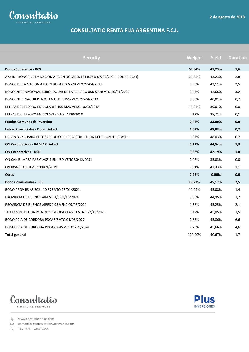

## **CONSULTATIO RENTA FIJA ARGENTINA F.C.I.**

| <b>Security</b>                                                             | Weight  | <b>Yield</b> | <b>Duration</b> |
|-----------------------------------------------------------------------------|---------|--------------|-----------------|
| <b>Bonos Soberanos - BCS</b>                                                | 69,94%  | 41,23%       | 1,6             |
| AY24D - BONOS DE LA NACION ARG EN DOLARES EST 8,75% 07/05/2024 (BONAR 2024) | 25,55%  | 43,23%       | 2,8             |
| BONOS DE LA NACION ARG EN DOLARES 6 7/8 VTO 22/04/2021                      | 8,90%   | 42,11%       | 2,5             |
| BONO INTERNACIONAL EURO- DOLAR DE LA REP ARG USD 5 5/8 VTO 26/01/2022       | 3,43%   | 42,66%       | 3,2             |
| BONO INTERNAC. REP. ARG. EN USD 6,25% VTO. 22/04/2019                       | 9,60%   | 40,01%       | 0,7             |
| LETRAS DEL TESORO EN DOLARES 455 DIAS VENC 10/08/2018                       | 15,34%  | 39,01%       | 0,0             |
| LETRAS DEL TESORO EN DOLARES VTO 24/08/2018                                 | 7,12%   | 38,71%       | 0,1             |
| <b>Fondos Comunes de Inversion</b>                                          | 2,48%   | 33,00%       | 0,0             |
| <b>Letras Provinciales - Dolar Linked</b>                                   | 1,07%   | 48,03%       | 0,7             |
| PUO19 BONO PARA EL DESARROLLO E INFRAESTRUCTURA DEL CHUBUT - CLASE I        | 1,07%   | 48,03%       | 0,7             |
| <b>ON Corporativas - BADLAR Linked</b>                                      | 0,11%   | 44,54%       | 1,3             |
| <b>ON Corporativas - USD</b>                                                | 3,68%   | 42,19%       | 1,0             |
| ON CANJE IMPSA PAR CLASE 1 EN USD VENC 30/12/2031                           | 0,07%   | 35,03%       | 0,0             |
| ON IRSA CLASE 8 VTO 09/09/2019                                              | 3,61%   | 42,33%       | 1,1             |
| <b>Otros</b>                                                                | 2,98%   | 0,00%        | 0,0             |
| <b>Bonos Provinciales - BCS</b>                                             | 19,73%  | 45,17%       | 2,5             |
| BONO PROV BS AS 2021 10.875 VTO 26/01/2021                                  | 10,94%  | 45,08%       | 1,4             |
| PROVINCIA DE BUENOS AIRES 9 1/8 03/16/2024                                  | 3,68%   | 44,95%       | 3,7             |
| PROVINCIA DE BUENOS AIRES 9.95 VENC 09/06/2021                              | 1,56%   | 45,25%       | 2,1             |
| TITULOS DE DEUDA PCIA DE CORDOBA CLASE 1 VENC 27/10/2026                    | 0,42%   | 45,05%       | 3,5             |
| BONO PCIA DE CORDOBA PDCAR 7 VTO 01/08/2027                                 | 0,88%   | 45,86%       | 6,6             |
| BONO PCIA DE CORDOBA PDCAR 7.45 VTO 01/09/2024                              | 2,25%   | 45,66%       | 4,6             |
| <b>Total general</b>                                                        | 100,00% | 40,67%       | 1,7             |





www.consultatioplus.com

⊠ comercial@consultatioinvestments.com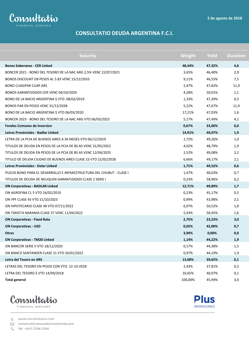

#### **CONSULTATIO DEUDA ARGENTINA F.C.I.**

| <b>Security</b>                                                      | Weight  | <b>Yield</b> | <b>Duration</b> |
|----------------------------------------------------------------------|---------|--------------|-----------------|
| <b>Bonos Soberanos - CER Linked</b>                                  | 48,44%  | 47,32%       | 4,6             |
| BONCER 2021 - BONO DEL TESORO DE LA NAC ARG 2,5% VENC 22/07/2021     | 3,65%   | 46,40%       | 2,9             |
| BONOS DISCOUNT EN PESOS AL 5.83 VENC 15/12/2033                      | 9,11%   | 46,55%       | 7,5             |
| BONO CUASIPAR CUAP ARS                                               | 2,47%   | 47,82%       | 11,9            |
| BONOS GARANTIZADOS CER VENC 04/10/2020                               | 4,28%   | 50,01%       | 1,1             |
| BONO DE LA NACIO ARGENTINA \$ VTO. 08/02/2019                        | 1,33%   | 47,39%       | 0,5             |
| BONOS PAR EN PESOS VENC 31/12/2038                                   | 5,22%   | 47,67%       | 11,9            |
| BONO DE LA NACIO ARGENTINA \$ VTO 06/03/2020                         | 17,21%  | 47,03%       | 1,6             |
| BONCER 2023 - BONO DEL TESORO DE LA NAC ARG VTO 06/03/2023           | 5,17%   | 47,49%       | 4,1             |
| <b>Fondos Comunes de Inversion</b>                                   | 0,67%   | 33,00%       | 0,0             |
| Letras Provinciales - Badlar Linked                                  | 14,91%  | 49,07%       | 1,9             |
| LETRA DE LA PCIA DE BUENOS AIRES A 36 MESES VTO 06/12/2019           | 1,72%   | 49,26%       | 1,0             |
| TITULOS DE DEUDA EN PESOS DE LA PCIA DE BS AS VENC 31/05/2022        | 4,02%   | 48,79%       | 1,9             |
| TITULOS DE DEUDA EN PESOS DE LA PCIA DE BS AS VENC 12/04/2025        | 2,52%   | 49,08%       | 2,2             |
| TITULO DE DEUDA CIUDAD DE BUENOS AIRES CLASE 23 VTO 22/02/2028       | 6,66%   | 49,17%       | 2,1             |
| Letras Provinciales - Dolar Linked                                   | 1,71%   | 49,52%       | 0,6             |
| PUO19 BONO PARA EL DESARROLLO E INFRAESTRUCTURA DEL CHUBUT - CLASE I | 1,47%   | 48,03%       | 0,7             |
| TITULOS DE DEUDA DE NEUQUEN GARANTIZADOS CLASE 2 SERIE I             | 0,23%   | 58,96%       | 0,2             |
| <b>ON Corporativas - BADLAR Linked</b>                               | 12,71%  | 49,89%       | 1,7             |
| ON AGROFINA CL 5 VTO 16/02/2019                                      | 0,23%   | 45,17%       | 0,5             |
| ON YPF CLASE 43 VTO 21/10/2023                                       | 0,99%   | 43,98%       | 2,1             |
| ON HIPOTECARIO CLASE 48 VTO 07/11/2022                               | 6,07%   | 50,52%       | 1,8             |
| ON TARJETA NARANJA CLASE 37 VENC 11/04/2022                          | 5,43%   | 50,45%       | 1,6             |
| <b>ON Corporativas - Fixed Rate</b>                                  | 2,75%   | 23,23%       | 3,0             |
| <b>ON Corporativas - USD</b>                                         | 0,65%   | 42,00%       | 0,7             |
| <b>Otros</b>                                                         | 3,94%   | $0,00\%$     | 0,0             |
| <b>ON Corporativas - TM20 Linked</b>                                 | 1,14%   | 44,22%       | 1,9             |
| ON BANCOR SERIE II VTO 18/12/2020                                    | 0,17%   | 44,38%       | 1,5             |
| ON BANCO SANTANDER CLASE 21 VTO 26/01/2022                           | 0,97%   | 44,19%       | 1,9             |
| Letra del Tesoro en ARS                                              | 13,08%  | 39,65%       | 0,1             |
| LETRAS DEL TESORO EN PESOS CON VTO. 12-10-2018                       | 2,43%   | 37,81%       | 0,2             |
| LETRA DEL TESORO \$ VTO 14/09/2018                                   | 10,65%  | 40,07%       | 0,1             |
| <b>Total general</b>                                                 | 100,00% | 45,94%       | 3,0             |



**Plus INVERSIONES** 

www.consultatioplus.com

⊠ comercial@consultatioinvestments.com

 $\mathcal{S}$ Tel.: +54 11 2206 2206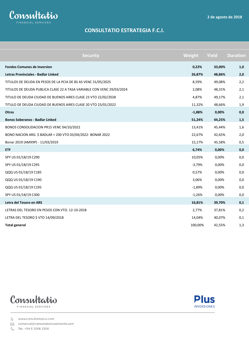

## **CONSULTATIO ESTRATEGIA F.C.I.**

| <b>Security</b>                                                       | Weight   | <b>Yield</b> | <b>Duration</b> |
|-----------------------------------------------------------------------|----------|--------------|-----------------|
| <b>Fondos Comunes de Inversion</b>                                    | 0,22%    | 33,00%       | 1,0             |
| Letras Provinciales - Badlar Linked                                   | 26,87%   | 48,86%       | 2,0             |
| TITULOS DE DEUDA EN PESOS DE LA PCIA DE BS AS VENC 31/05/2025         | 8,59%    | 49,08%       | 2,2             |
| TITULOS DE DEUDA PUBLICA CLASE 22 A TASA VARIABLE CON VENC 29/03/2024 | 2,08%    | 48,31%       | 2,1             |
| TITULO DE DEUDA CIUDAD DE BUENOS AIRES CLASE 23 VTO 22/02/2028        | 4,87%    | 49,17%       | 2,1             |
| TITULO DE DEUDA CIUDAD DE BUENOS AIRES CLASE 20 VTO 23/01/2022        | 11,32%   | 48,66%       | 1,9             |
| <b>Otros</b>                                                          | $-1,88%$ | 0,00%        | 0,0             |
| <b>Bonos Soberanos - Badlar Linked</b>                                | 51,24%   | 44,25%       | 1,5             |
| BONOS CONSOLIDACION PR15 VENC 04/10/2022                              | 13,41%   | 45,44%       | 1,6             |
| BONO NACION ARG. \$ BADLAR + 200 VTO 03/04/2022- BONAR 2022           | 22,67%   | 42,65%       | 2,0             |
| Bonar 2019 (AMX9P) - 11/03/2019                                       | 15,17%   | 45,58%       | 0,5             |
| <b>ETF</b>                                                            | 6,74%    | 0,00%        | 0,0             |
| SPY US 01/18/19 C290                                                  | 10,05%   | 0,00%        | 0,0             |
| SPY US 01/18/19 C295                                                  | $-3,79%$ | 0,00%        | 0,0             |
| QQQ US 01/18/19 C185                                                  | 0,57%    | 0,00%        | 0,0             |
| QQQ US 01/18/19 C190                                                  | 3,06%    | 0,00%        | 0,0             |
| QQQ US 01/18/19 C195                                                  | $-1,89%$ | 0,00%        | 0,0             |
| SPY US 01/18/19 C300                                                  | $-1,26%$ | 0,00%        | 0,0             |
| Letra del Tesoro en ARS                                               | 16,81%   | 39,70%       | 0,1             |
| LETRAS DEL TESORO EN PESOS CON VTO. 12-10-2018                        | 2,77%    | 37,81%       | 0,2             |
| LETRA DEL TESORO \$ VTO 14/09/2018                                    | 14,04%   | 40,07%       | 0,1             |
| <b>Total general</b>                                                  | 100,00%  | 42,55%       | 1,3             |





www.consultatioplus.com

⊠ comercial@consultatioinvestments.com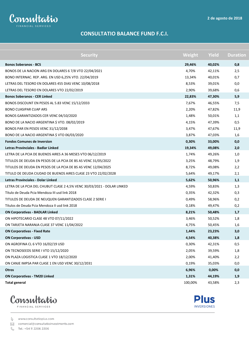

#### **CONSULTATIO BALANCE FUND F.C.I.**

| <b>Security</b>                                                         | Weight  | <b>Yield</b> | <b>Duration</b> |
|-------------------------------------------------------------------------|---------|--------------|-----------------|
| <b>Bonos Soberanos - BCS</b>                                            | 29,46%  | 40,02%       | 0,8             |
| BONOS DE LA NACION ARG EN DOLARES 6 7/8 VTO 22/04/2021                  | 4,70%   | 42,11%       | 2,5             |
| BONO INTERNAC. REP. ARG. EN USD 6,25% VTO. 22/04/2019                   | 13,34%  | 40,01%       | 0,7             |
| LETRAS DEL TESORO EN DOLARES 455 DIAS VENC 10/08/2018                   | 8,53%   | 39,01%       | 0,0             |
| LETRAS DEL TESORO EN DOLARES VTO 22/02/2019                             | 2,90%   | 39,68%       | 0,6             |
| <b>Bonos Soberanos - CER Linked</b>                                     | 22,83%  | 47,30%       | 5,9             |
| BONOS DISCOUNT EN PESOS AL 5.83 VENC 15/12/2033                         | 7,67%   | 46,55%       | 7,5             |
| <b>BONO CUASIPAR CUAP ARS</b>                                           | 2,20%   | 47,82%       | 11,9            |
| BONOS GARANTIZADOS CER VENC 04/10/2020                                  | 1,48%   | 50,01%       | 1,1             |
| BONO DE LA NACIO ARGENTINA \$ VTO. 08/02/2019                           | 4,15%   | 47,39%       | 0,5             |
| BONOS PAR EN PESOS VENC 31/12/2038                                      | 3,47%   | 47,67%       | 11,9            |
| BONO DE LA NACIO ARGENTINA \$ VTO 06/03/2020                            | 3,87%   | 47,03%       | 1,6             |
| <b>Fondos Comunes de Inversion</b>                                      | 0,30%   | 33,00%       | 0,0             |
| Letras Provinciales - Badlar Linked                                     | 19,34%  | 49,08%       | 2,0             |
| LETRA DE LA PCIA DE BUENOS AIRES A 36 MESES VTO 06/12/2019              | 1,74%   | 49,26%       | 1,0             |
| TITULOS DE DEUDA EN PESOS DE LA PCIA DE BS AS VENC 31/05/2022           | 3,25%   | 48,79%       | 1,9             |
| TITULOS DE DEUDA EN PESOS DE LA PCIA DE BS AS VENC 12/04/2025           | 8,72%   | 49,08%       | 2,2             |
| TITULO DE DEUDA CIUDAD DE BUENOS AIRES CLASE 23 VTO 22/02/2028          | 5,64%   | 49,17%       | 2,1             |
| Letras Provinciales - Dolar Linked                                      | 5,62%   | 50,96%       | 1,1             |
| LETRA DE LA PCIA DEL CHUBUT CLASE 2 4,5% VENC 30/03/2021 - DOLAR LINKED | 4,59%   | 50,83%       | 1,3             |
| Título de Deuda Pcia Mendoza III usd link 2018                          | 0,35%   | 42,32%       | 0,3             |
| TITULOS DE DEUDA DE NEUQUEN GARANTIZADOS CLASE 2 SERIE I                | 0,49%   | 58,96%       | 0,2             |
| Títulos de Deuda Pcia Mendoza II usd link 2018                          | 0,18%   | 49,47%       | 0,2             |
| <b>ON Corporativas - BADLAR Linked</b>                                  | 8,21%   | 50,48%       | 1,7             |
| ON HIPOTECARIO CLASE 48 VTO 07/11/2022                                  | 3,46%   | 50,52%       | 1,8             |
| ON TARJETA NARANJA CLASE 37 VENC 11/04/2022                             | 4,75%   | 50,45%       | 1,6             |
| <b>ON Corporativas - Fixed Rate</b>                                     | 1,44%   | 23,23%       | 3,0             |
| <b>ON Corporativas - USD</b>                                            | 4,54%   | 40,38%       | 1,8             |
| ON AGROFINA CL 6 VTO 16/02/19 USD                                       | 0,30%   | 42,31%       | 0,5             |
| ON TECNOSEEDS SERIE I VTO 15/12/2020                                    | 2,05%   | 39,59%       | 1,8             |
| ON PLAZA LOGISTICA CLASE 1 VTO 18/12/2020                               | 2,00%   | 41,40%       | 2,2             |
| ON CANJE IMPSA PAR CLASE 1 EN USD VENC 30/12/2031                       | 0,19%   | 35,03%       | 0,0             |
| <b>Otros</b>                                                            | 6,96%   | $0,00\%$     | 0,0             |
| <b>ON Corporativas - TM20 Linked</b>                                    | 1,31%   | 44,19%       | 1,9             |
| <b>Total general</b>                                                    | 100,00% | 43,58%       | 2,3             |





www.consultatioplus.com

⊠ comercial@consultatioinvestments.com

 $\mathbb{C}$ Tel.: +54 11 2206 2206

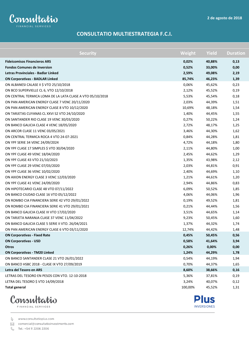

#### **CONSULTATIO MULTIESTRATEGIA F.C.I.**

| <b>Security</b>                                           | Weight  | <b>Yield</b> | <b>Duration</b> |
|-----------------------------------------------------------|---------|--------------|-----------------|
| <b>Fideicomisos Financieros ARS</b>                       | 0,02%   | 40,88%       | 0,13            |
| <b>Fondos Comunes de Inversion</b>                        | 0,52%   | 33,00%       | 0,00            |
| Letras Provinciales - Badlar Linked                       | 2,59%   | 49,08%       | 2,19            |
| <b>ON Corporativas - BADLAR Linked</b>                    | 85,74%  | 46,23%       | 1,39            |
| ON ALBANESI CALASE II \$ VTO 25/10/2018                   | 0,06%   | 45,62%       | 0,23            |
| ON BCO SUPERVIELLE CL 6, VTO 12/10/2018                   | 2,12%   | 45,52%       | 0,19            |
| ON CENTRAL TERMICA LOMA DE LA LATA CLASE A VTO 05/10/2018 | 5,53%   | 45,54%       | 0,18            |
| ON PAN AMERICAN ENERGY CLASE 7 VENC 20/11/2020            | 2,03%   | 44,39%       | 1,51            |
| ON PAN AMERICAN ENERGY CLASE 8 VTO 10/12/2020             | 10,69%  | 48,18%       | 1,54            |
| ON TARJETAS CUYANAS CL XXVI S2 VTO 24/10/2020             | 1,40%   | 44,45%       | 1,55            |
| ON SANTANDER RIO CLASE 19 VENC 30/03/2020                 | 0,27%   | 50,22%       | 1,24            |
| ON BANCO GALICIA CLASE 4 VENC 18/05/2020                  | 2,72%   | 48,17%       | 1,25            |
| ON ARCOR CLASE 11 VENC 03/05/2021                         | 3,46%   | 44,30%       | 1,62            |
| ON CENTRAL TERMICA ROCA 4 VTO 24-07-2021                  | 0,84%   | 44,28%       | 1,81            |
| ON YPF SERIE 34 VENC 24/09/2024                           | 4,72%   | 44,18%       | 1,80            |
| ON YPF CLASE 17 SIMPLES \$ VTO 30/04/2020                 | 2,11%   | 44,80%       | 1,00            |
| ON YPF CLASE 49 VENC 18/04/2020                           | 2,45%   | 44,62%       | 1,29            |
| ON YPF CLASE 43 VTO 21/10/2023                            | 1,35%   | 43,98%       | 2,12            |
| ON YPF CLASE 29 VENC 07/03/2020                           | 2,03%   | 44,81%       | 0,91            |
| ON YPF CLASE 36 VENC 10/02/2020                           | 2,40%   | 44,69%       | 1,10            |
| ON AXION ENERGY CLASE 3 VENC 12/03/2020                   | 1,21%   | 44,61%       | 1,20            |
| ON YPF CLASE 41 VENC 24/09/2020                           | 2,94%   | 44,86%       | 0,83            |
| ON HIPOTECARIO CLASE 48 VTO 07/11/2022                    | 6,09%   | 50,52%       | 1,85            |
| ON BANCO CIUDAD CLASE 16 VTO 05/12/2022                   | 4,06%   | 44,06%       | 1,96            |
| ON ROMBO CIA FINANCIERA SERIE 42 VTO 29/01/2022           | 0,19%   | 49,52%       | 1,81            |
| ON ROMBO CIA FINANCIERA SERIE 41 VTO 29/01/2021           | 0,21%   | 44,44%       | 1,56            |
| ON BANCO GALICIA CLASE III VTO 17/02/2020                 | 3,51%   | 44,65%       | 1,14            |
| ON TARJETA NARANJA CLASE 37 VENC 11/04/2022               | 9,23%   | 50,45%       | 1,60            |
| ON BANCO GALICIA CLASE 5 SERIE II VTO. 26/04/2021         | 1,37%   | 44,32%       | 1,74            |
| ON PAN AMERICAN ENERGY CLASE 6 VTO 03/11/2020             | 12,74%  | 44,42%       | 1,48            |
| <b>ON Corporativas - Fixed Rate</b>                       | 0,45%   | 50,45%       | 0,56            |
| <b>ON Corporativas - USD</b>                              | 0,58%   | 41,64%       | 3,94            |
| Otros                                                     | 0,26%   | $0,00\%$     | 0,00            |
| <b>ON Corporativas - TM20 Linked</b>                      | 1,24%   | 44,29%       | 1,78            |
| ON BANCO SANTANDER CLASE 21 VTO 26/01/2022                | 0,54%   | 44,19%       | 1,94            |
| ON BANCO HSBC 2018 - CLASE IX VTO 27/09/2019              | 0,70%   | 44,37%       | 1,65            |
| Letra del Tesoro en ARS                                   | 8,60%   | 38,66%       | 0,16            |
| LETRAS DEL TESORO EN PESOS CON VTO. 12-10-2018            | 5,36%   | 37,81%       | 0,19            |
| LETRA DEL TESORO \$ VTO 14/09/2018                        | 3,24%   | 40,07%       | 0,12            |
| <b>Total general</b>                                      | 100,00% | 45,52%       | 1,31            |



FINANCIAL SERVICES

**Plus INVERSIONES** 

www.consultatioplus.com

⊠ comercial@consultatioinvestments.com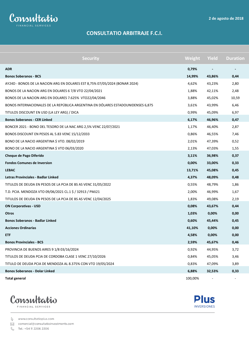

# **CONSULTATIO ARBITRAJE F.C.I.**

| <b>Security</b>                                                                  | Weight  | Yield    | <b>Duration</b> |
|----------------------------------------------------------------------------------|---------|----------|-----------------|
| <b>ADR</b>                                                                       | 0,79%   |          |                 |
| <b>Bonos Soberanos - BCS</b>                                                     | 14,99%  | 43,86%   | 0,44            |
| AY24D - BONOS DE LA NACION ARG EN DOLARES EST 8,75% 07/05/2024 (BONAR 2024)      | 4,62%   | 43,23%   | 2,80            |
| BONOS DE LA NACION ARG EN DOLARES 6 7/8 VTO 22/04/2021                           | 1,88%   | 42,11%   | 2,48            |
| BONOS DE LA NACION ARG EN DOLARES 7.625% VTO22/04/2046                           | 3,88%   | 45,02%   | 10,59           |
| BONOS INTERNACIONALES DE LA REPÚBLICA ARGENTINA EN DÓLARES ESTADOUNIDENSES 6,875 | 3,61%   | 43,99%   | 6,46            |
| TITULOS DISCOUNT EN USD (LA LEY ARG) / DICA                                      | 0,99%   | 45,09%   | 6,97            |
| <b>Bonos Soberanos - CER Linked</b>                                              | 6,17%   | 46,96%   | 0,47            |
| BONCER 2021 - BONO DEL TESORO DE LA NAC ARG 2,5% VENC 22/07/2021                 | 1,17%   | 46,40%   | 2,87            |
| BONOS DISCOUNT EN PESOS AL 5.83 VENC 15/12/2033                                  | 0,86%   | 46,55%   | 7,46            |
| BONO DE LA NACIO ARGENTINA \$ VTO. 08/02/2019                                    | 2,01%   | 47,39%   | 0,52            |
| BONO DE LA NACIO ARGENTINA \$ VTO 06/03/2020                                     | 2,13%   | 47,03%   | 1,55            |
| Cheque de Pago Diferido                                                          | 3,11%   | 36,98%   | 0,37            |
| <b>Fondos Comunes de Inversion</b>                                               | 0,00%   | 33,00%   | 0,33            |
| <b>LEBAC</b>                                                                     | 13,71%  | 45,08%   | 0,45            |
| Letras Provinciales - Badlar Linked                                              | 4,37%   | 48,09%   | 0,48            |
| TITULOS DE DEUDA EN PESOS DE LA PCIA DE BS AS VENC 31/05/2022                    | 0,55%   | 48,79%   | 1,86            |
| T.D. PCIA. MENDOZA VTO 09/06/2021 CL.1 \$ / 32913 / PMJ21                        | 2,00%   | 46,99%   | 1,67            |
| TITULOS DE DEUDA EN PESOS DE LA PCIA DE BS AS VENC 12/04/2025                    | 1,83%   | 49,08%   | 2,19            |
| <b>ON Corporativas - USD</b>                                                     | 0,08%   | 43,67%   | 0,44            |
| <b>Otros</b>                                                                     | 1,03%   | $0,00\%$ | 0,00            |
| <b>Bonos Soberanos - Badlar Linked</b>                                           | 0,60%   | 45,44%   | 0,45            |
| <b>Acciones Ordinarias</b>                                                       | 41,10%  | 0,00%    | 0,00            |
| <b>ETF</b>                                                                       | 4,58%   | 0,00%    | 0,00            |
| <b>Bonos Provinciales - BCS</b>                                                  | 2,59%   | 45,67%   | 0,46            |
| PROVINCIA DE BUENOS AIRES 9 1/8 03/16/2024                                       | 0,92%   | 44,95%   | 3,72            |
| TITULOS DE DEUDA PCIA DE CORDOBA CLASE 1 VENC 27/10/2026                         | 0,84%   | 45,05%   | 3,46            |
| TITULO DE DEUDA PCIA DE MENDOZA AL 8.375% CON VTO 19/05/2024                     | 0,83%   | 47,09%   | 3,89            |
| <b>Bonos Soberanos - Dolar Linked</b>                                            | 6,88%   | 32,53%   | 0,33            |
| <b>Total general</b>                                                             | 100,00% |          |                 |





www.consultatioplus.com

⊠ comercial@consultatioinvestments.com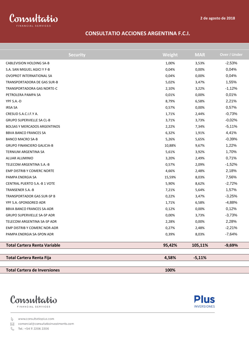

#### **CONSULTATIO ACCIONES ARGENTINA F.C.I.**

| <b>Security</b>                     | Weight | <b>MAR</b> | Over / Under |
|-------------------------------------|--------|------------|--------------|
| <b>CABLEVISION HOLDING SA-B</b>     | 1,00%  | 3,53%      | $-2,53%$     |
| S.A. SAN MIGUEL AGICI Y F-B         | 0,04%  | 0,00%      | 0,04%        |
| <b>OVOPROT INTERNATIONAL SA</b>     | 0,04%  | 0,00%      | 0,04%        |
| TRANSPORTADORA DE GAS SUR-B         | 5,02%  | 3,47%      | 1,55%        |
| TRANSPORTADORA GAS NORTE-C          | 2,10%  | 3,22%      | $-1,12%$     |
| PETROLERA PAMPA SA                  | 0,01%  | 0,00%      | 0,01%        |
| YPF S.A.-D                          | 8,79%  | 6,58%      | 2,21%        |
| <b>IRSA SA</b>                      | 0,57%  | 0,00%      | 0,57%        |
| CRESUD S.A.C.I.F.Y A.               | 1,71%  | 2,44%      | $-0,73%$     |
| <b>GRUPO SUPERVIELLE SA CL-B</b>    | 3,71%  | 3,73%      | $-0,02%$     |
| <b>BOLSAS Y MERCADOS ARGENTINOS</b> | 2,22%  | 7,34%      | $-5,11%$     |
| <b>BBVA BANCO FRANCES SA</b>        | 6,32%  | 1,91%      | 4,41%        |
| <b>BANCO MACRO SA-B</b>             | 5,26%  | 5,65%      | $-0,39%$     |
| <b>GRUPO FINANCIERO GALICIA-B</b>   | 10,88% | 9,67%      | 1,22%        |
| TERNIUM ARGENTINA SA                | 5,61%  | 3,92%      | 1,70%        |
| ALUAR ALUMINIO                      | 3,20%  | 2,49%      | 0,71%        |
| TELECOM ARGENTINA S.A.-B            | 0,57%  | 2,09%      | $-1,52%$     |
| <b>EMP DISTRIB Y COMERC NORTE</b>   | 4,66%  | 2,48%      | 2,18%        |
| PAMPA ENERGIA SA                    | 15,59% | 8,03%      | 7,56%        |
| CENTRAL PUERTO S.A.-B 1 VOTE        | 5,90%  | 8,62%      | $-2,72%$     |
| TRANSENER S.A.-B                    | 7,21%  | 5,64%      | 1,57%        |
| TRANSPORTADOR GAS SUR-SP B          | 0,22%  | 3,47%      | $-3,25%$     |
| YPF S.A.-SPONSORED ADR              | 1,71%  | 6,58%      | $-4,88%$     |
| BBVA BANCO FRANCES SA-ADR           | 0,12%  | 0,00%      | 0,12%        |
| GRUPO SUPERVIELLE SA-SP ADR         | 0,00%  | 3,73%      | $-3,73%$     |
| TELECOM ARGENTINA SA-SP ADR         | 2,28%  | 0,00%      | 2,28%        |
| EMP DISTRIB Y COMERC NOR-ADR        | 0,27%  | 2,48%      | $-2,21%$     |
| PAMPA ENERGIA SA-SPON ADR           | 0,39%  | 8,03%      | $-7,64%$     |
| <b>Total Cartera Renta Variable</b> | 95,42% | 105,11%    | $-9,69%$     |
| <b>Total Cartera Renta Fija</b>     | 4,58%  | $-5,11%$   |              |
| <b>Total Cartera de Inversiones</b> | 100%   |            |              |





www.consultatioplus.com

⊠ comercial@consultatioinvestments.com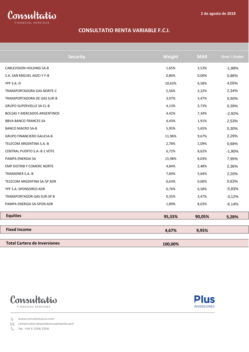

#### **CONSULTATIO RENTA VARIABLE F.C.I.**

| <b>Security</b>                     | Weight  | <b>MAR</b> | Over / Under |
|-------------------------------------|---------|------------|--------------|
| <b>CABLEVISION HOLDING SA-B</b>     | 1,65%   | 3,53%      | $-1,88%$     |
| S.A. SAN MIGUEL AGICI Y F-B         | 0,86%   | 0,00%      | 0,86%        |
| YPF S.A.-D                          | 10,63%  | 6,58%      | 4,05%        |
| <b>TRANSPORTADORA GAS NORTE-C</b>   | 5,56%   | 3,22%      | 2,34%        |
| TRANSPORTADORA DE GAS SUR-B         | 3,97%   | 3,47%      | 0,50%        |
| <b>GRUPO SUPERVIELLE SA CL-B</b>    | 4,13%   | 3,73%      | 0,39%        |
| <b>BOLSAS Y MERCADOS ARGENTINOS</b> | 4,42%   | 7,34%      | $-2,92%$     |
| <b>BBVA BANCO FRANCES SA</b>        | 4,43%   | 1,91%      | 2,53%        |
| <b>BANCO MACRO SA-B</b>             | 5,95%   | 5,65%      | 0,30%        |
| <b>GRUPO FINANCIERO GALICIA-B</b>   | 11,96%  | 9,67%      | 2,29%        |
| TELECOM ARGENTINA S.A.-B            | 2,78%   | 2,09%      | 0,68%        |
| CENTRAL PUERTO S.A.-B 1 VOTE        | 6,72%   | 8,62%      | $-1,90%$     |
| PAMPA ENERGIA SA                    | 15,98%  | 8,03%      | 7,95%        |
| EMP DISTRIB Y COMERC NORTE          | 4,84%   | 2,48%      | 2,36%        |
| TRANSENER S.A.-B                    | 7,84%   | 5,64%      | 2,20%        |
| TELECOM ARGENTINA SA-SP ADR         | 0,63%   | 0,00%      | 0,63%        |
| YPF S.A.-SPONSORED ADR              | 0,76%   | 6,58%      | $-5,83%$     |
| TRANSPORTADOR GAS SUR-SP B          | 0,35%   | 3,47%      | $-3,12%$     |
| PAMPA ENERGIA SA-SPON ADR           | 1,89%   | 8,03%      | $-6,14%$     |
| <b>Equities</b>                     | 95,33%  | 90,05%     | 5,28%        |
| <b>Fixed Income</b>                 | 4,67%   | 9,95%      |              |
|                                     |         |            |              |
| <b>Total Cartera de Inversiones</b> | 100,00% |            |              |



**Plus INVERSIONES** 

www.consultatioplus.com

⊠ comercial@consultatioinvestments.com